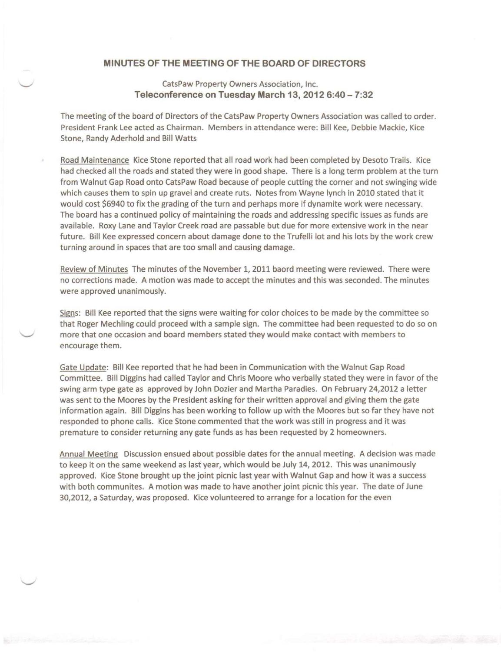## **MINUTES OF THE MEETING OF THE BOARD OF DIRECTORS**

## CatsPaw Property Owners Association, Inc. **Teleconference on Tuesday March 13, 2012 6:40 -** 7:32

The meeting of the board of Directors of the CatsPaw Property Owners Association was called to order. President Frank Lee acted as Chairman. Members in attendance were: Bill Kee, Debbie Mackie, Kice Stone, Randy Aderhold and Bill Watts

Road Maintenance Kice Stone reported that all road work had been completed by Desoto Trails. Kice had checked all the roads and stated they were in good shape. There is a long term problem at the turn from Walnut Gap Road onto CatsPaw Road because of people cutting the corner and not swinging wide which causes them to spin up gravel and create ruts. Notes from Wayne lynch in 2010 stated that it would cost \$6940 to fix the grading of the turn and perhaps more if dynamite work were necessary. The board has a continued policy of maintaining the roads and addressing specific issues as funds are available. Roxy Lane and Taylor Creek road are passable but due for more extensive work in the near future. Bill Kee expressed concern about damage done to the Trufelli lot and his lots by the work crew turning around in spaces that are too small and causing damage.

Review of Minutes The minutes of the November 1, 2011 baord meeting were reviewed. There were no corrections made. A motion was made to accept the minutes and this was seconded. The minutes were approved unanimously.

Signs: Bill Kee reported that the signs were waiting for color choices to be made by the committee so that Roger Mechling could proceed with a sample sign. The committee had been requested to do so on more that one occasion and board members stated they would make contact with members to encourage them.

Gate Update: Bill Kee reported that he had been in Communication with the Walnut Gap Road Committee. Bill Diggins had called Taylor and Chris Moore who verbally stated they were in favor of the swing arm type gate as approved by John Dozier and Martha Paradies. On February 24,2012 a letter was sent to the Moores by the President asking for their written approval and giving them the gate information again. Bill Diggins has been working to follow up with the Moores but so far they have not responded to phone calls. Kice Stone commented that the work was still in progress and it was premature to consider returning any gate funds as has been requested by 2 homeowners.

Annual Meeting Discussion ensued about possible dates for the annual meeting. A decision was made to keep it on the same weekend as last year, which would be July 14, 2012. This was unanimously approved. Kice Stone brought up the joint picnic last year with Walnut Gap and how it was a success with both communites. A motion was made to have another joint picnic this year. The date of June 30,2012, a Saturday, was proposed. Kice volunteered to arrange for a location for the even